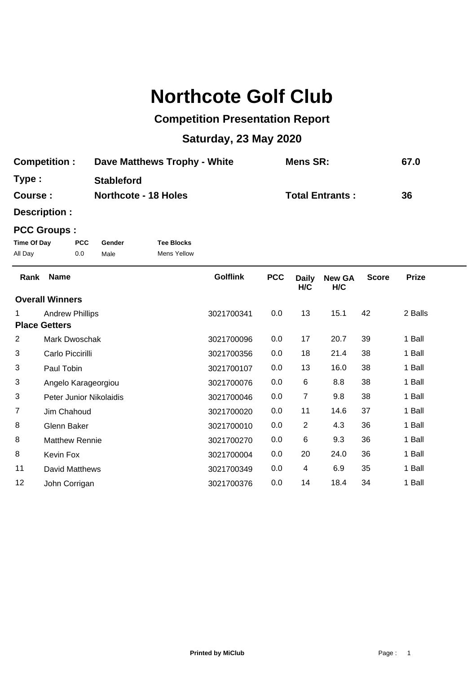## **Northcote Golf Club**

## **Competition Presentation Report**

## **Saturday, 23 May 2020**

| <b>Competition:</b> | Dave Matthews Trophy - White | <b>Mens SR:</b>        | 67.0 |
|---------------------|------------------------------|------------------------|------|
| Type :              | <b>Stableford</b>            |                        |      |
| <b>Course :</b>     | <b>Northcote - 18 Holes</b>  | <b>Total Entrants:</b> | 36   |

**Description :**

## **PCC Groups :**

| Time Of Day | <b>PCC</b> | Gender | <b>Tee Blocks</b> |
|-------------|------------|--------|-------------------|
| All Day     | 0.0        | Male   | Mens Yellow       |

| Rank                 | <b>Name</b>             | <b>Golflink</b> | <b>PCC</b> | <b>Daily</b><br>H/C | <b>New GA</b><br>H/C | <b>Score</b> | <b>Prize</b> |
|----------------------|-------------------------|-----------------|------------|---------------------|----------------------|--------------|--------------|
|                      | <b>Overall Winners</b>  |                 |            |                     |                      |              |              |
|                      | <b>Andrew Phillips</b>  | 3021700341      | 0.0        | 13                  | 15.1                 | 42           | 2 Balls      |
| <b>Place Getters</b> |                         |                 |            |                     |                      |              |              |
| $\overline{2}$       | Mark Dwoschak           | 3021700096      | 0.0        | 17                  | 20.7                 | 39           | 1 Ball       |
| 3                    | Carlo Piccirilli        | 3021700356      | 0.0        | 18                  | 21.4                 | 38           | 1 Ball       |
| 3                    | Paul Tobin              | 3021700107      | 0.0        | 13                  | 16.0                 | 38           | 1 Ball       |
| 3                    | Angelo Karageorgiou     | 3021700076      | 0.0        | 6                   | 8.8                  | 38           | 1 Ball       |
| 3                    | Peter Junior Nikolaidis | 3021700046      | 0.0        | 7                   | 9.8                  | 38           | 1 Ball       |
| $\overline{7}$       | Jim Chahoud             | 3021700020      | 0.0        | 11                  | 14.6                 | 37           | 1 Ball       |
| 8                    | Glenn Baker             | 3021700010      | 0.0        | $\overline{2}$      | 4.3                  | 36           | 1 Ball       |
| 8                    | <b>Matthew Rennie</b>   | 3021700270      | 0.0        | 6                   | 9.3                  | 36           | 1 Ball       |
| 8                    | Kevin Fox               | 3021700004      | 0.0        | 20                  | 24.0                 | 36           | 1 Ball       |
| 11                   | David Matthews          | 3021700349      | 0.0        | 4                   | 6.9                  | 35           | 1 Ball       |
| 12                   | John Corrigan           | 3021700376      | 0.0        | 14                  | 18.4                 | 34           | 1 Ball       |